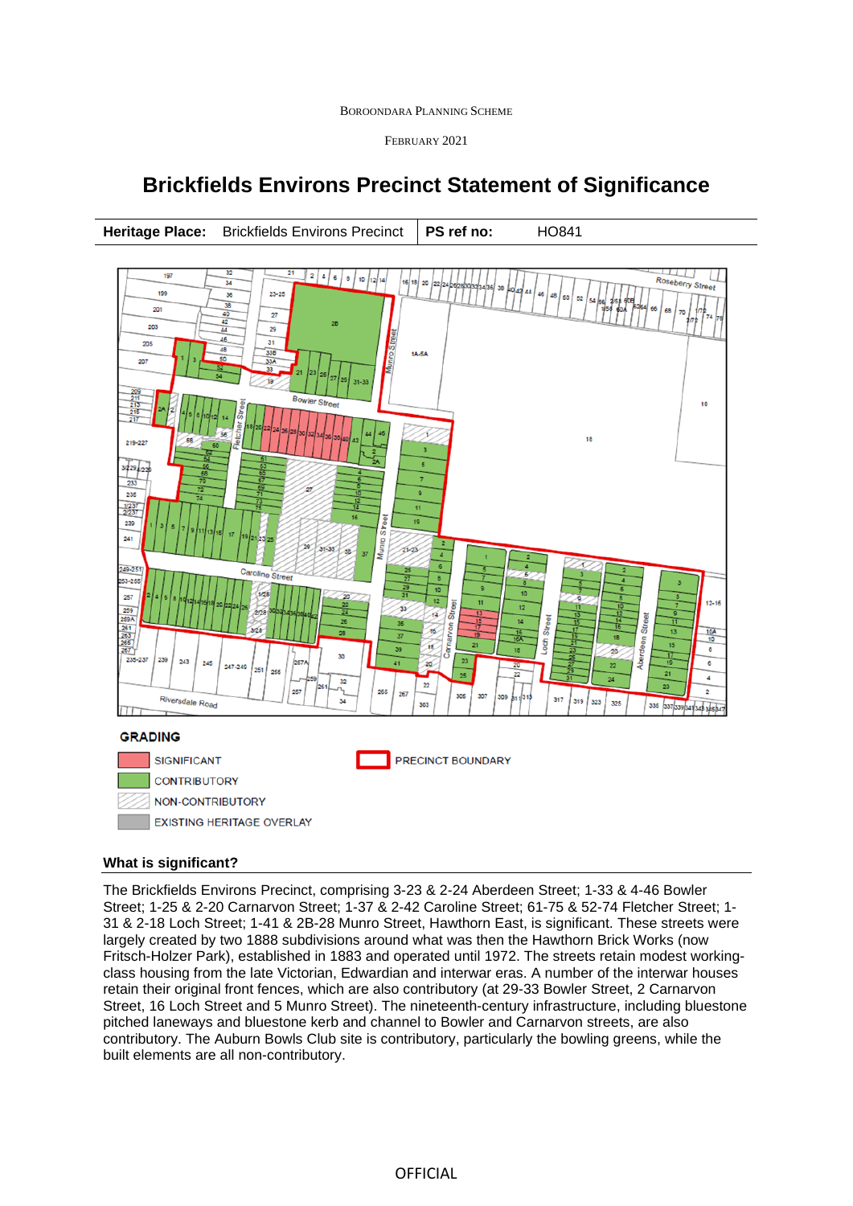#### BOROONDARA PLANNING SCHEME

FEBRUARY 2021

# **Brickfields Environs Precinct Statement of Significance**



# **What is significant?**

The Brickfields Environs Precinct, comprising 3-23 & 2-24 Aberdeen Street; 1-33 & 4-46 Bowler Street; 1-25 & 2-20 Carnarvon Street; 1-37 & 2-42 Caroline Street; 61-75 & 52-74 Fletcher Street; 1- 31 & 2-18 Loch Street; 1-41 & 2B-28 Munro Street, Hawthorn East, is significant. These streets were largely created by two 1888 subdivisions around what was then the Hawthorn Brick Works (now Fritsch-Holzer Park), established in 1883 and operated until 1972. The streets retain modest workingclass housing from the late Victorian, Edwardian and interwar eras. A number of the interwar houses retain their original front fences, which are also contributory (at 29-33 Bowler Street, 2 Carnarvon Street, 16 Loch Street and 5 Munro Street). The nineteenth-century infrastructure, including bluestone pitched laneways and bluestone kerb and channel to Bowler and Carnarvon streets, are also contributory. The Auburn Bowls Club site is contributory, particularly the bowling greens, while the built elements are all non-contributory.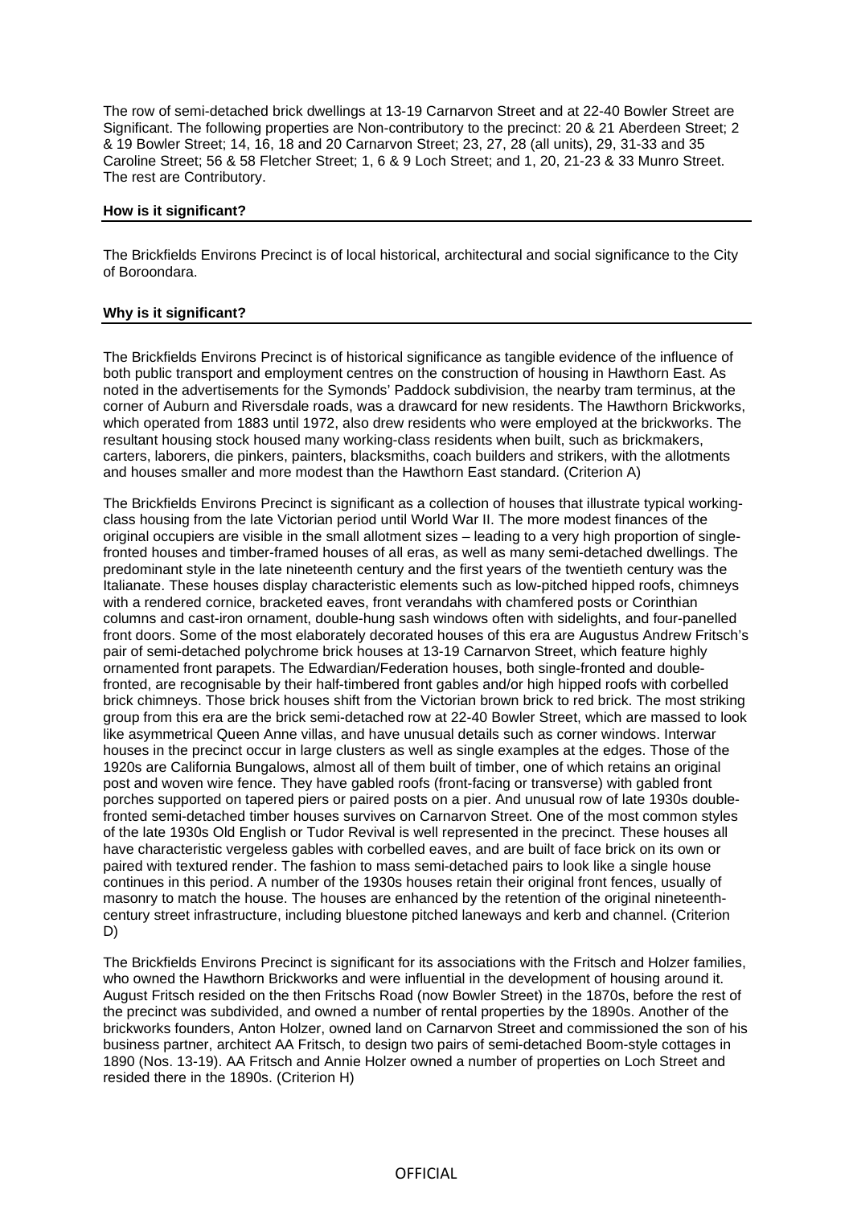The row of semi-detached brick dwellings at 13-19 Carnarvon Street and at 22-40 Bowler Street are Significant. The following properties are Non-contributory to the precinct: 20 & 21 Aberdeen Street; 2 & 19 Bowler Street; 14, 16, 18 and 20 Carnarvon Street; 23, 27, 28 (all units), 29, 31-33 and 35 Caroline Street; 56 & 58 Fletcher Street; 1, 6 & 9 Loch Street; and 1, 20, 21-23 & 33 Munro Street. The rest are Contributory.

### **How is it significant?**

The Brickfields Environs Precinct is of local historical, architectural and social significance to the City of Boroondara.

## **Why is it significant?**

The Brickfields Environs Precinct is of historical significance as tangible evidence of the influence of both public transport and employment centres on the construction of housing in Hawthorn East. As noted in the advertisements for the Symonds' Paddock subdivision, the nearby tram terminus, at the corner of Auburn and Riversdale roads, was a drawcard for new residents. The Hawthorn Brickworks, which operated from 1883 until 1972, also drew residents who were employed at the brickworks. The resultant housing stock housed many working-class residents when built, such as brickmakers, carters, laborers, die pinkers, painters, blacksmiths, coach builders and strikers, with the allotments and houses smaller and more modest than the Hawthorn East standard. (Criterion A)

The Brickfields Environs Precinct is significant as a collection of houses that illustrate typical workingclass housing from the late Victorian period until World War II. The more modest finances of the original occupiers are visible in the small allotment sizes – leading to a very high proportion of singlefronted houses and timber-framed houses of all eras, as well as many semi-detached dwellings. The predominant style in the late nineteenth century and the first years of the twentieth century was the Italianate. These houses display characteristic elements such as low-pitched hipped roofs, chimneys with a rendered cornice, bracketed eaves, front verandahs with chamfered posts or Corinthian columns and cast-iron ornament, double-hung sash windows often with sidelights, and four-panelled front doors. Some of the most elaborately decorated houses of this era are Augustus Andrew Fritsch's pair of semi-detached polychrome brick houses at 13-19 Carnarvon Street, which feature highly ornamented front parapets. The Edwardian/Federation houses, both single-fronted and doublefronted, are recognisable by their half-timbered front gables and/or high hipped roofs with corbelled brick chimneys. Those brick houses shift from the Victorian brown brick to red brick. The most striking group from this era are the brick semi-detached row at 22-40 Bowler Street, which are massed to look like asymmetrical Queen Anne villas, and have unusual details such as corner windows. Interwar houses in the precinct occur in large clusters as well as single examples at the edges. Those of the 1920s are California Bungalows, almost all of them built of timber, one of which retains an original post and woven wire fence. They have gabled roofs (front-facing or transverse) with gabled front porches supported on tapered piers or paired posts on a pier. And unusual row of late 1930s doublefronted semi-detached timber houses survives on Carnarvon Street. One of the most common styles of the late 1930s Old English or Tudor Revival is well represented in the precinct. These houses all have characteristic vergeless gables with corbelled eaves, and are built of face brick on its own or paired with textured render. The fashion to mass semi-detached pairs to look like a single house continues in this period. A number of the 1930s houses retain their original front fences, usually of masonry to match the house. The houses are enhanced by the retention of the original nineteenthcentury street infrastructure, including bluestone pitched laneways and kerb and channel. (Criterion D)

The Brickfields Environs Precinct is significant for its associations with the Fritsch and Holzer families, who owned the Hawthorn Brickworks and were influential in the development of housing around it. August Fritsch resided on the then Fritschs Road (now Bowler Street) in the 1870s, before the rest of the precinct was subdivided, and owned a number of rental properties by the 1890s. Another of the brickworks founders, Anton Holzer, owned land on Carnarvon Street and commissioned the son of his business partner, architect AA Fritsch, to design two pairs of semi-detached Boom-style cottages in 1890 (Nos. 13-19). AA Fritsch and Annie Holzer owned a number of properties on Loch Street and resided there in the 1890s. (Criterion H)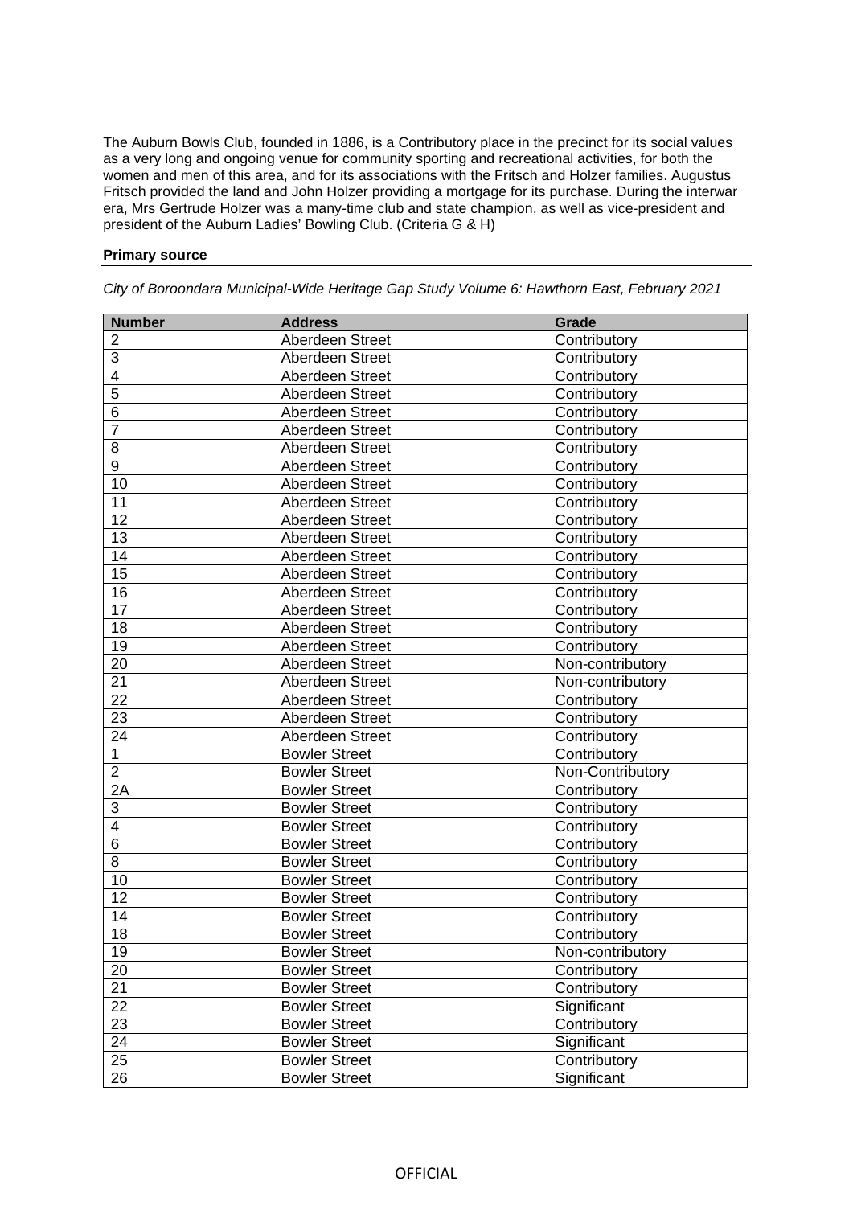The Auburn Bowls Club, founded in 1886, is a Contributory place in the precinct for its social values as a very long and ongoing venue for community sporting and recreational activities, for both the women and men of this area, and for its associations with the Fritsch and Holzer families. Augustus Fritsch provided the land and John Holzer providing a mortgage for its purchase. During the interwar era, Mrs Gertrude Holzer was a many-time club and state champion, as well as vice-president and president of the Auburn Ladies' Bowling Club. (Criteria G & H)

# **Primary source**

| <b>Number</b>   | <b>Address</b>       | Grade            |
|-----------------|----------------------|------------------|
| 2               | Aberdeen Street      | Contributory     |
| $\overline{3}$  | Aberdeen Street      | Contributory     |
| 4               | Aberdeen Street      | Contributory     |
| $\overline{5}$  | Aberdeen Street      | Contributory     |
| 6               | Aberdeen Street      | Contributory     |
| $\overline{7}$  | Aberdeen Street      | Contributory     |
| 8               | Aberdeen Street      | Contributory     |
| $\overline{9}$  | Aberdeen Street      | Contributory     |
| 10              | Aberdeen Street      | Contributory     |
| 11              | Aberdeen Street      | Contributory     |
| 12              | Aberdeen Street      | Contributory     |
| 13              | Aberdeen Street      | Contributory     |
| $\overline{14}$ | Aberdeen Street      | Contributory     |
| 15              | Aberdeen Street      | Contributory     |
| 16              | Aberdeen Street      | Contributory     |
| 17              | Aberdeen Street      | Contributory     |
| 18              | Aberdeen Street      | Contributory     |
| 19              | Aberdeen Street      | Contributory     |
| 20              | Aberdeen Street      | Non-contributory |
| $\overline{21}$ | Aberdeen Street      | Non-contributory |
| 22              | Aberdeen Street      | Contributory     |
| 23              | Aberdeen Street      | Contributory     |
| 24              | Aberdeen Street      | Contributory     |
| $\mathbf{1}$    | <b>Bowler Street</b> | Contributory     |
| $\overline{2}$  | <b>Bowler Street</b> | Non-Contributory |
| $\overline{2A}$ | <b>Bowler Street</b> | Contributory     |
| 3               | <b>Bowler Street</b> | Contributory     |
| $\overline{4}$  | <b>Bowler Street</b> | Contributory     |
| $\overline{6}$  | <b>Bowler Street</b> | Contributory     |
| $\overline{8}$  | <b>Bowler Street</b> | Contributory     |
| 10              | <b>Bowler Street</b> | Contributory     |
| 12              | <b>Bowler Street</b> | Contributory     |
| 14              | <b>Bowler Street</b> | Contributory     |
| 18              | <b>Bowler Street</b> | Contributory     |
| 19              | <b>Bowler Street</b> | Non-contributory |
| 20              | <b>Bowler Street</b> | Contributory     |
| $\overline{21}$ | <b>Bowler Street</b> | Contributory     |
| $\overline{22}$ | <b>Bowler Street</b> | Significant      |
| $\overline{23}$ | <b>Bowler Street</b> | Contributory     |
| 24              | <b>Bowler Street</b> | Significant      |
| 25              | <b>Bowler Street</b> | Contributory     |
| 26              | <b>Bowler Street</b> | Significant      |

*City of Boroondara Municipal-Wide Heritage Gap Study Volume 6: Hawthorn East, February 2021*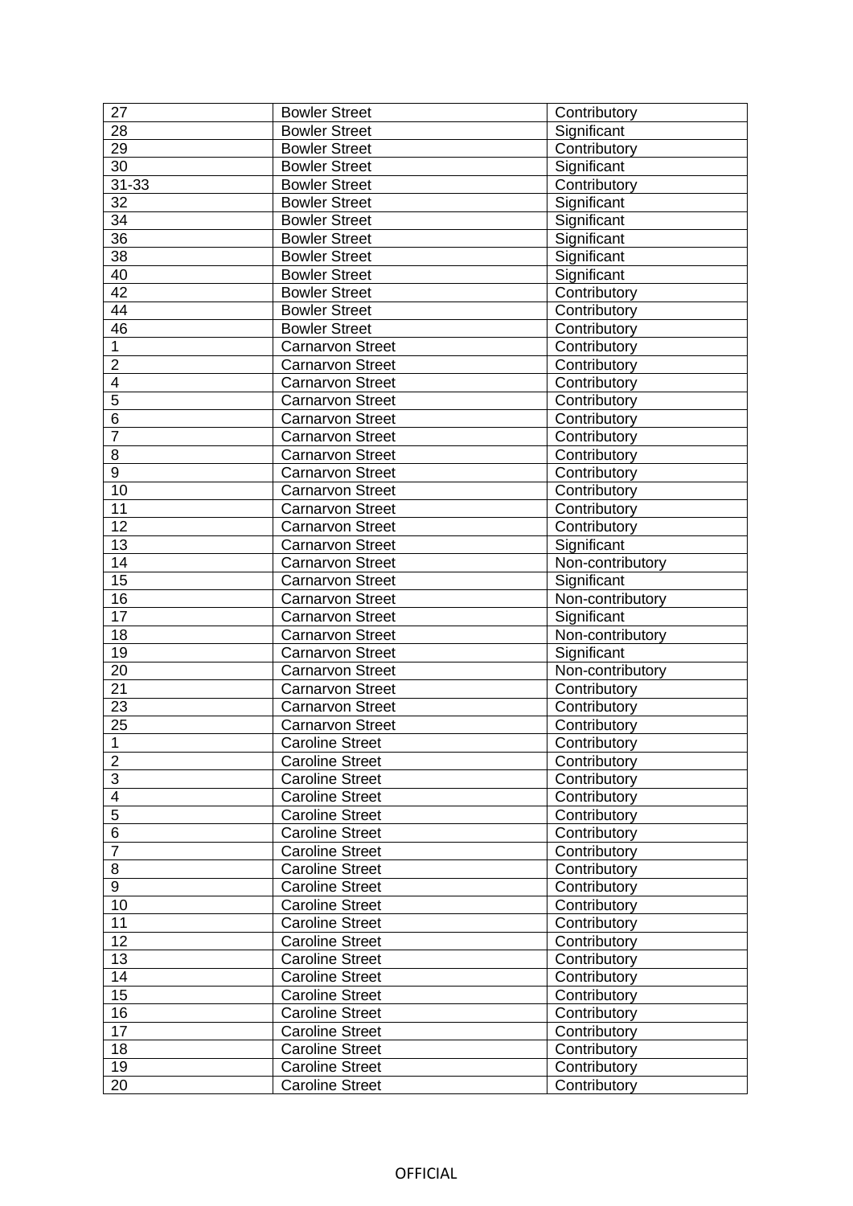| 27                      | <b>Bowler Street</b>    | Contributory     |
|-------------------------|-------------------------|------------------|
| 28                      | <b>Bowler Street</b>    | Significant      |
| 29                      | <b>Bowler Street</b>    | Contributory     |
| 30                      | <b>Bowler Street</b>    | Significant      |
| $31 - 33$               | <b>Bowler Street</b>    | Contributory     |
| 32                      | <b>Bowler Street</b>    | Significant      |
| 34                      | <b>Bowler Street</b>    | Significant      |
| 36                      | <b>Bowler Street</b>    | Significant      |
| 38                      | <b>Bowler Street</b>    | Significant      |
| 40                      | <b>Bowler Street</b>    | Significant      |
| 42                      | <b>Bowler Street</b>    | Contributory     |
| 44                      | <b>Bowler Street</b>    | Contributory     |
| 46                      | <b>Bowler Street</b>    | Contributory     |
| 1                       | <b>Carnarvon Street</b> | Contributory     |
| $\overline{2}$          | <b>Carnarvon Street</b> | Contributory     |
| 4                       | <b>Carnarvon Street</b> | Contributory     |
| 5                       | <b>Carnarvon Street</b> | Contributory     |
| 6                       | <b>Carnarvon Street</b> | Contributory     |
| $\overline{7}$          | Carnarvon Street        | Contributory     |
| 8                       | <b>Carnarvon Street</b> | Contributory     |
| $\overline{9}$          | <b>Carnarvon Street</b> | Contributory     |
| 10                      | <b>Carnarvon Street</b> | Contributory     |
| 11                      | Carnarvon Street        | Contributory     |
| 12                      | <b>Carnarvon Street</b> | Contributory     |
| 13                      | <b>Carnarvon Street</b> | Significant      |
| 14                      | <b>Carnarvon Street</b> | Non-contributory |
| 15                      | Carnarvon Street        | Significant      |
| 16                      | <b>Carnarvon Street</b> | Non-contributory |
| 17                      | Carnarvon Street        | Significant      |
| 18                      | <b>Carnarvon Street</b> | Non-contributory |
| 19                      | Carnarvon Street        | Significant      |
| 20                      | <b>Carnarvon Street</b> | Non-contributory |
| 21                      | <b>Carnarvon Street</b> | Contributory     |
| 23                      | <b>Carnarvon Street</b> | Contributory     |
| 25                      | <b>Carnarvon Street</b> | Contributory     |
| $\mathbf{1}$            | <b>Caroline Street</b>  | Contributory     |
| $\overline{c}$          | <b>Caroline Street</b>  | Contributory     |
| $\overline{3}$          | <b>Caroline Street</b>  | Contributory     |
| $\overline{\mathbf{4}}$ | <b>Caroline Street</b>  | Contributory     |
| $\overline{5}$          | <b>Caroline Street</b>  | Contributory     |
| 6                       | <b>Caroline Street</b>  | Contributory     |
| $\overline{7}$          | <b>Caroline Street</b>  | Contributory     |
| 8                       | <b>Caroline Street</b>  | Contributory     |
| 9                       | <b>Caroline Street</b>  | Contributory     |
| 10                      | <b>Caroline Street</b>  | Contributory     |
| 11                      | <b>Caroline Street</b>  | Contributory     |
| 12                      | <b>Caroline Street</b>  | Contributory     |
| 13                      | <b>Caroline Street</b>  | Contributory     |
| 14                      | <b>Caroline Street</b>  | Contributory     |
| 15                      | <b>Caroline Street</b>  | Contributory     |
| 16                      | <b>Caroline Street</b>  | Contributory     |
| 17                      | <b>Caroline Street</b>  | Contributory     |
| 18                      | <b>Caroline Street</b>  | Contributory     |
| 19                      |                         |                  |
|                         | <b>Caroline Street</b>  | Contributory     |
| 20                      | <b>Caroline Street</b>  | Contributory     |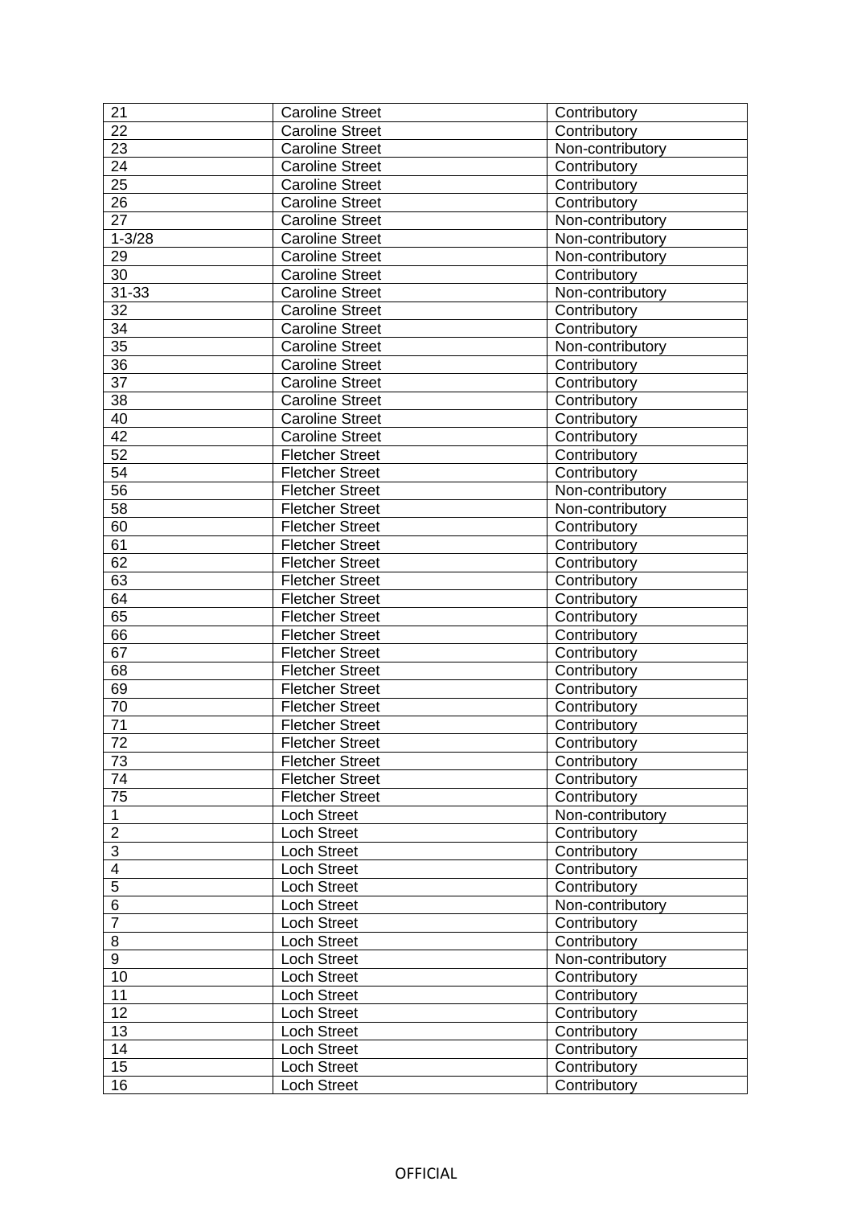| 21                  | <b>Caroline Street</b> | Contributory     |
|---------------------|------------------------|------------------|
| 22                  | <b>Caroline Street</b> | Contributory     |
| 23                  | <b>Caroline Street</b> | Non-contributory |
| 24                  | <b>Caroline Street</b> | Contributory     |
| 25                  | <b>Caroline Street</b> | Contributory     |
| 26                  | <b>Caroline Street</b> | Contributory     |
| 27                  | <b>Caroline Street</b> | Non-contributory |
| $1 - 3/28$          | <b>Caroline Street</b> | Non-contributory |
| 29                  | <b>Caroline Street</b> | Non-contributory |
| 30                  | <b>Caroline Street</b> | Contributory     |
| $31 - 33$           | <b>Caroline Street</b> | Non-contributory |
| 32                  | <b>Caroline Street</b> | Contributory     |
| 34                  | <b>Caroline Street</b> | Contributory     |
| 35                  | <b>Caroline Street</b> | Non-contributory |
| 36                  | <b>Caroline Street</b> | Contributory     |
| 37                  | <b>Caroline Street</b> | Contributory     |
| 38                  | <b>Caroline Street</b> | Contributory     |
| 40                  | <b>Caroline Street</b> | Contributory     |
| 42                  | <b>Caroline Street</b> | Contributory     |
| $\overline{52}$     | <b>Fletcher Street</b> | Contributory     |
| $\overline{54}$     | <b>Fletcher Street</b> | Contributory     |
| 56                  | <b>Fletcher Street</b> | Non-contributory |
| $\overline{58}$     | <b>Fletcher Street</b> | Non-contributory |
| 60                  | <b>Fletcher Street</b> | Contributory     |
| 61                  | <b>Fletcher Street</b> | Contributory     |
| 62                  | <b>Fletcher Street</b> |                  |
|                     |                        | Contributory     |
| 63<br>64            | <b>Fletcher Street</b> | Contributory     |
|                     | <b>Fletcher Street</b> | Contributory     |
| 65                  | <b>Fletcher Street</b> | Contributory     |
| 66                  | <b>Fletcher Street</b> | Contributory     |
| 67                  | <b>Fletcher Street</b> | Contributory     |
| 68                  | <b>Fletcher Street</b> | Contributory     |
| 69                  | <b>Fletcher Street</b> | Contributory     |
| 70                  | <b>Fletcher Street</b> | Contributory     |
| 71                  | <b>Fletcher Street</b> | Contributory     |
| 72                  | <b>Fletcher Street</b> | Contributory     |
| 73                  | <b>Fletcher Street</b> | Contributory     |
| 74                  | <b>Fletcher Street</b> | Contributory     |
| 75                  | <b>Fletcher Street</b> | Contributory     |
| $\mathbf{1}$        | Loch Street            | Non-contributory |
| $\overline{2}$      | Loch Street            | Contributory     |
| $\overline{\omega}$ | <b>Loch Street</b>     | Contributory     |
| $\overline{4}$      | <b>Loch Street</b>     | Contributory     |
| $\overline{5}$      | <b>Loch Street</b>     | Contributory     |
| $\overline{6}$      | <b>Loch Street</b>     | Non-contributory |
| $\overline{7}$      | Loch Street            | Contributory     |
| 8                   | <b>Loch Street</b>     | Contributory     |
| 9                   | Loch Street            | Non-contributory |
| 10                  | <b>Loch Street</b>     | Contributory     |
| 11                  | <b>Loch Street</b>     | Contributory     |
| 12                  | Loch Street            | Contributory     |
| 13                  | <b>Loch Street</b>     | Contributory     |
| 14                  | <b>Loch Street</b>     | Contributory     |
| 15                  | <b>Loch Street</b>     | Contributory     |
| 16                  | <b>Loch Street</b>     | Contributory     |